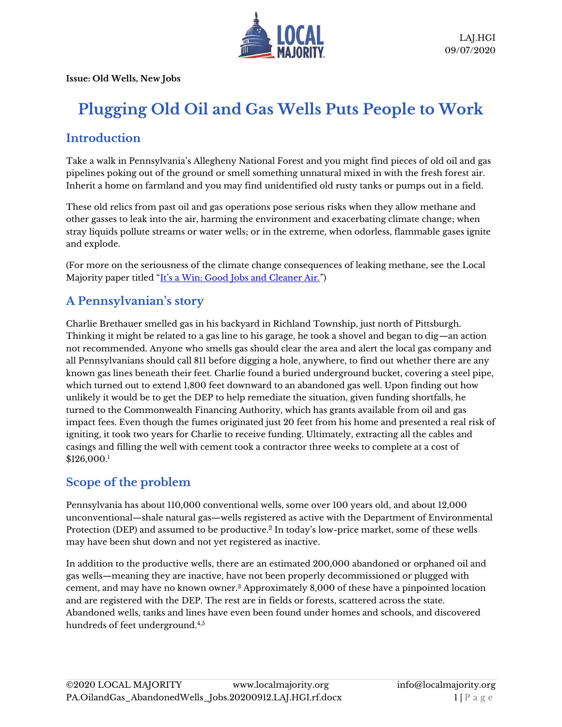

**Issue: Old Wells, New Jobs**

# **Plugging Old Oil and Gas Wells Puts People to Work**

### **Introduction**

Take a walk in Pennsylvania's Allegheny National Forest and you might find pieces of old oil and gas pipelines poking out of the ground or smell something unnatural mixed in with the fresh forest air. Inherit a home on farmland and you may find unidentified old rusty tanks or pumps out in a field.

These old relics from past oil and gas operations pose serious risks when they allow methane and other gasses to leak into the air, harming the environment and exacerbating climate change; when stray liquids pollute streams or water wells; or in the extreme, when odorless, flammable gases ignite and explode.

(For more on the seriousness of the climate change consequences of leaking methane, see the Local Majority paper titled ["It's a Win: Good Jobs and Cleaner Air."](https://www.localmajority.org/research-reports/#PA-methane))

# **A Pennsylvanian's story**

Charlie Brethauer smelled gas in his backyard in Richland Township, just north of Pittsburgh. Thinking it might be related to a gas line to his garage, he took a shovel and began to dig—an action not recommended. Anyone who smells gas should clear the area and alert the local gas company and all Pennsylvanians should call 811 before digging a hole, anywhere, to find out whether there are any known gas lines beneath their feet. Charlie found a buried underground bucket, covering a steel pipe, which turned out to extend 1,800 feet downward to an abandoned gas well. Upon finding out how unlikely it would be to get the DEP to help remediate the situation, given funding shortfalls, he turned to the Commonwealth Financing Authority, which has grants available from oil and gas impact fees. Even though the fumes originated just 20 feet from his home and presented a real risk of igniting, it took two years for Charlie to receive funding. Ultimately, extracting all the cables and casings and filling the well with cement took a contractor three weeks to complete at a cost of \$126,000.<sup>1</sup>

#### **Scope of the problem**

Pennsylvania has about 110,000 conventional wells, some over 100 years old, and about 12,000 unconventional—shale natural gas—wells registered as active with the Department of Environmental Protection (DEP) and assumed to be productive. 2 In today's low-price market, some of these wells may have been shut down and not yet registered as inactive.

In addition to the productive wells, there are an estimated 200,000 abandoned or orphaned oil and gas wells—meaning they are inactive, have not been properly decommissioned or plugged with cement, and may have no known owner. <sup>3</sup> Approximately 8,000 of these have a pinpointed location and are registered with the DEP. The rest are in fields or forests, scattered across the state. Abandoned wells, tanks and lines have even been found under homes and schools, and discovered hundreds of feet underground.4,5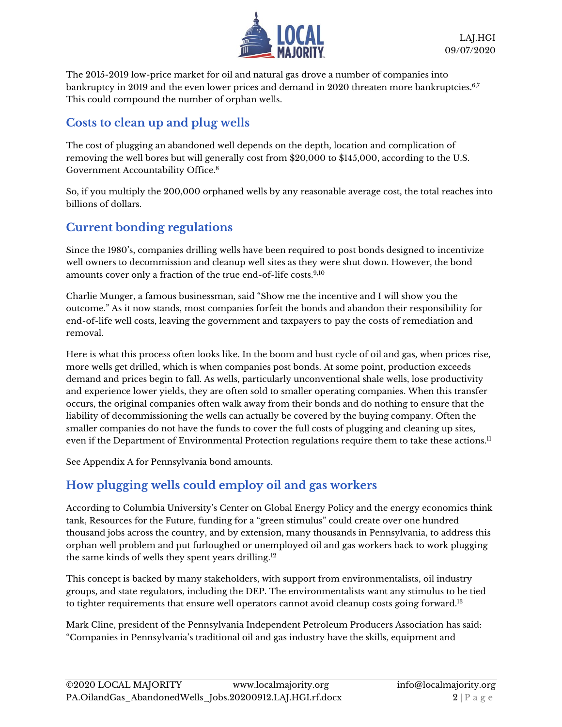

The 2015-2019 low-price market for oil and natural gas drove a number of companies into bankruptcy in 2019 and the even lower prices and demand in 2020 threaten more bankruptcies.<sup>6,7</sup> This could compound the number of orphan wells.

### **Costs to clean up and plug wells**

The cost of plugging an abandoned well depends on the depth, location and complication of removing the well bores but will generally cost from \$20,000 to \$145,000, according to the U.S. Government Accountability Office. 8

So, if you multiply the 200,000 orphaned wells by any reasonable average cost, the total reaches into billions of dollars.

# **Current bonding regulations**

Since the 1980's, companies drilling wells have been required to post bonds designed to incentivize well owners to decommission and cleanup well sites as they were shut down. However, the bond amounts cover only a fraction of the true end-of-life costs.<sup>9,10</sup>

Charlie Munger, a famous businessman, said "Show me the incentive and I will show you the outcome." As it now stands, most companies forfeit the bonds and abandon their responsibility for end-of-life well costs, leaving the government and taxpayers to pay the costs of remediation and removal.

Here is what this process often looks like. In the boom and bust cycle of oil and gas, when prices rise, more wells get drilled, which is when companies post bonds. At some point, production exceeds demand and prices begin to fall. As wells, particularly unconventional shale wells, lose productivity and experience lower yields, they are often sold to smaller operating companies. When this transfer occurs, the original companies often walk away from their bonds and do nothing to ensure that the liability of decommissioning the wells can actually be covered by the buying company. Often the smaller companies do not have the funds to cover the full costs of plugging and cleaning up sites, even if the Department of Environmental Protection regulations require them to take these actions. $^{\rm ll}$ 

See Appendix A for Pennsylvania bond amounts.

# **How plugging wells could employ oil and gas workers**

According to Columbia University's Center on Global Energy Policy and the energy economics think tank, Resources for the Future, funding for a "green stimulus" could create over one hundred thousand jobs across the country, and by extension, many thousands in Pennsylvania, to address this orphan well problem and put furloughed or unemployed oil and gas workers back to work plugging the same kinds of wells they spent years drilling.<sup>12</sup>

This concept is backed by many stakeholders, with support from environmentalists, oil industry groups, and state regulators, including the DEP. The environmentalists want any stimulus to be tied to tighter requirements that ensure well operators cannot avoid cleanup costs going forward.<sup>13</sup>

Mark Cline, president of the Pennsylvania Independent Petroleum Producers Association has said: "Companies in Pennsylvania's traditional oil and gas industry have the skills, equipment and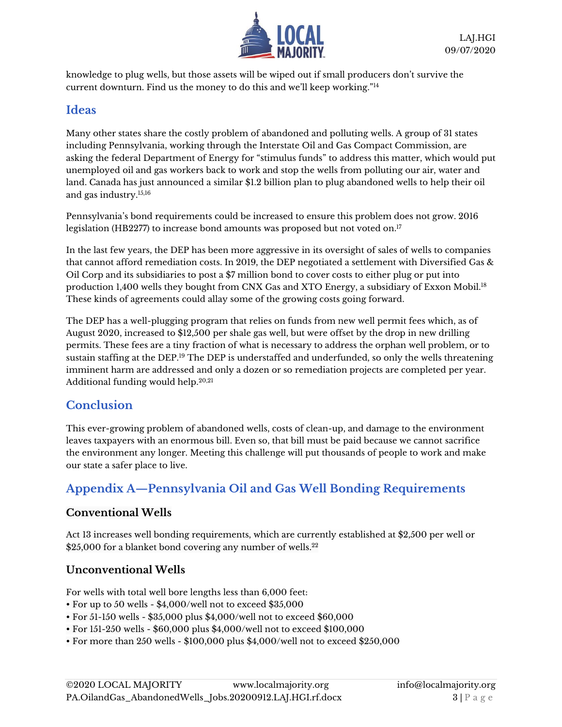

knowledge to plug wells, but those assets will be wiped out if small producers don't survive the current downturn. Find us the money to do this and we'll keep working."<sup>14</sup>

#### **Ideas**

Many other states share the costly problem of abandoned and polluting wells. A group of 31 states including Pennsylvania, working through the Interstate Oil and Gas Compact Commission, are asking the federal Department of Energy for "stimulus funds" to address this matter, which would put unemployed oil and gas workers back to work and stop the wells from polluting our air, water and land. Canada has just announced a similar \$1.2 billion plan to plug abandoned wells to help their oil and gas industry.15,16

Pennsylvania's bond requirements could be increased to ensure this problem does not grow. 2016 legislation (HB2277) to increase bond amounts was proposed but not voted on.<sup>17</sup>

In the last few years, the DEP has been more aggressive in its oversight of sales of wells to companies that cannot afford remediation costs. In 2019, the DEP negotiated a settlement with Diversified Gas & Oil Corp and its subsidiaries to post a \$7 million bond to cover costs to either plug or put into production 1,400 wells they bought from CNX Gas and XTO Energy, a subsidiary of Exxon Mobil.<sup>18</sup> These kinds of agreements could allay some of the growing costs going forward.

The DEP has a well-plugging program that relies on funds from new well permit fees which, as of August 2020, increased to \$12,500 per shale gas well, but were offset by the drop in new drilling permits. These fees are a tiny fraction of what is necessary to address the orphan well problem, or to sustain staffing at the DEP.<sup>19</sup> The DEP is understaffed and underfunded, so only the wells threatening imminent harm are addressed and only a dozen or so remediation projects are completed per year. Additional funding would help.20,21

#### **Conclusion**

This ever-growing problem of abandoned wells, costs of clean-up, and damage to the environment leaves taxpayers with an enormous bill. Even so, that bill must be paid because we cannot sacrifice the environment any longer. Meeting this challenge will put thousands of people to work and make our state a safer place to live.

# **Appendix A—Pennsylvania Oil and Gas Well Bonding Requirements**

#### **Conventional Wells**

Act 13 increases well bonding requirements, which are currently established at \$2,500 per well or  $\$25,\!000$  for a blanket bond covering any number of wells. $^{22}$ 

#### **Unconventional Wells**

For wells with total well bore lengths less than 6,000 feet:

- For up to 50 wells \$4,000/well not to exceed \$35,000
- For 51-150 wells \$35,000 plus \$4,000/well not to exceed \$60,000
- For 151-250 wells \$60,000 plus \$4,000/well not to exceed \$100,000
- For more than 250 wells \$100,000 plus \$4,000/well not to exceed \$250,000